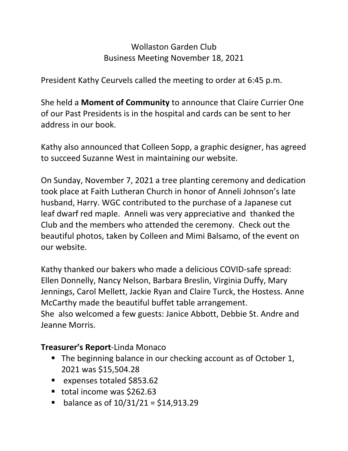## Wollaston Garden Club Business Meeting November 18, 2021

President Kathy Ceurvels called the meeting to order at 6:45 p.m.

She held a **Moment of Community** to announce that Claire Currier One of our Past Presidents is in the hospital and cards can be sent to her address in our book.

Kathy also announced that Colleen Sopp, a graphic designer, has agreed to succeed Suzanne West in maintaining our website.

On Sunday, November 7, 2021 a tree planting ceremony and dedication took place at Faith Lutheran Church in honor of Anneli Johnson's late husband, Harry. WGC contributed to the purchase of a Japanese cut leaf dwarf red maple. Anneli was very appreciative and thanked the Club and the members who attended the ceremony. Check out the beautiful photos, taken by Colleen and Mimi Balsamo, of the event on our website.

Kathy thanked our bakers who made a delicious COVID-safe spread: Ellen Donnelly, Nancy Nelson, Barbara Breslin, Virginia Duffy, Mary Jennings, Carol Mellett, Jackie Ryan and Claire Turck, the Hostess. Anne McCarthy made the beautiful buffet table arrangement. She also welcomed a few guests: Janice Abbott, Debbie St. Andre and Jeanne Morris.

## **Treasurer's Report**-Linda Monaco

- The beginning balance in our checking account as of October 1, 2021 was \$15,504.28
- expenses totaled \$853.62
- total income was \$262.63
- $\blacksquare$  balance as of  $10/31/21 = $14,913.29$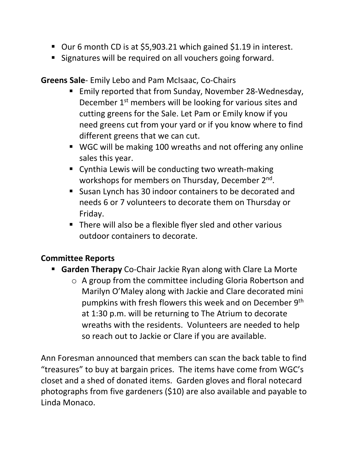- Our 6 month CD is at \$5,903.21 which gained \$1.19 in interest.
- **Signatures will be required on all vouchers going forward.**

## **Greens Sale**- Emily Lebo and Pam McIsaac, Co-Chairs

- Emily reported that from Sunday, November 28-Wednesday, December 1<sup>st</sup> members will be looking for various sites and cutting greens for the Sale. Let Pam or Emily know if you need greens cut from your yard or if you know where to find different greens that we can cut.
- WGC will be making 100 wreaths and not offering any online sales this year.
- **E** Cynthia Lewis will be conducting two wreath-making workshops for members on Thursday, December 2nd.
- Susan Lynch has 30 indoor containers to be decorated and needs 6 or 7 volunteers to decorate them on Thursday or Friday.
- There will also be a flexible flyer sled and other various outdoor containers to decorate.

## **Committee Reports**

- **Garden Therapy** Co-Chair Jackie Ryan along with Clare La Morte
	- o A group from the committee including Gloria Robertson and Marilyn O'Maley along with Jackie and Clare decorated mini pumpkins with fresh flowers this week and on December 9th at 1:30 p.m. will be returning to The Atrium to decorate wreaths with the residents. Volunteers are needed to help so reach out to Jackie or Clare if you are available.

Ann Foresman announced that members can scan the back table to find "treasures" to buy at bargain prices. The items have come from WGC's closet and a shed of donated items. Garden gloves and floral notecard photographs from five gardeners (\$10) are also available and payable to Linda Monaco.